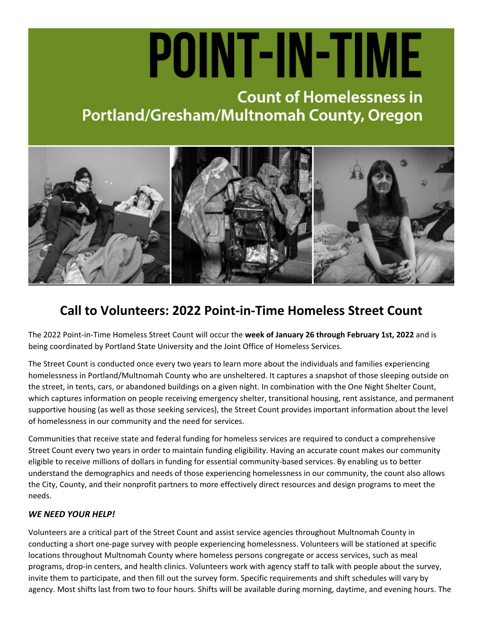# POINT-IN-TIME

## **Count of Homelessness in** Portland/Gresham/Multnomah County, Oregon



### **Call to Volunteers: 2022 Point-in-Time Homeless Street Count**

The 2022 Point-in-Time Homeless Street Count will occur the **week of January 26 through February 1st, 2022** and is being coordinated by Portland State University and the Joint Office of Homeless Services.

The Street Count is conducted once every two years to learn more about the individuals and families experiencing homelessness in Portland/Multnomah County who are unsheltered. It captures a snapshot of those sleeping outside on the street, in tents, cars, or abandoned buildings on a given night. In combination with the One Night Shelter Count, which captures information on people receiving emergency shelter, transitional housing, rent assistance, and permanent supportive housing (as well as those seeking services), the Street Count provides important information about the level of homelessness in our community and the need for services.

Communities that receive state and federal funding for homeless services are required to conduct a comprehensive Street Count every two years in order to maintain funding eligibility. Having an accurate count makes our community eligible to receive millions of dollars in funding for essential community-based services. By enabling us to better understand the demographics and needs of those experiencing homelessness in our community, the count also allows the City, County, and their nonprofit partners to more effectively direct resources and design programs to meet the needs.

#### *WE NEED YOUR HELP!*

Volunteers are a critical part of the Street Count and assist service agencies throughout Multnomah County in conducting a short one-page survey with people experiencing homelessness. Volunteers will be stationed at specific locations throughout Multnomah County where homeless persons congregate or access services, such as meal programs, drop-in centers, and health clinics. Volunteers work with agency staff to talk with people about the survey, invite them to participate, and then fill out the survey form. Specific requirements and shift schedules will vary by agency. Most shifts last from two to four hours. Shifts will be available during morning, daytime, and evening hours. The